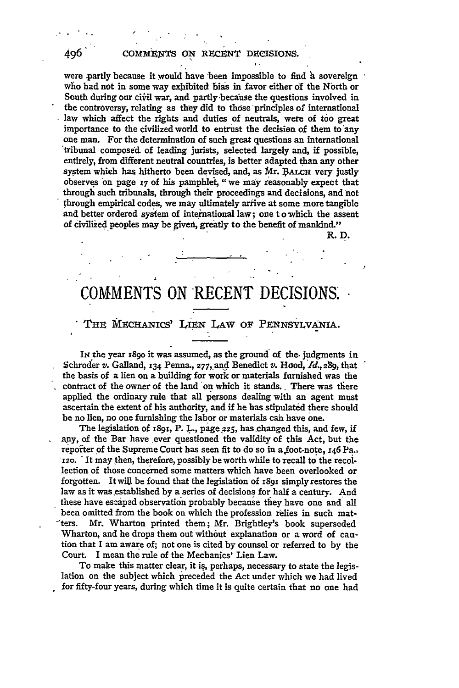were partly because it would have been impossible to find a sovereign who had not in some way exhibited bias in favor either **of** the North or South during our civil war, and partly because the questions involved in the controversy, relating as they did to those principles of international law which affect the rights and duties of neutrals, were of too great importance to the civilized world to entrust the decision of them to any one man. For the determination of such great questions an international "tribunal composed. of leading jurists, selected largely and, if possible, entirely, from different neutral countries, is better adapted than any other system which has hitherto been devised, and, as Mr. BALCH very justly observes on page **17** of his pamphlet, "we **may** reasonably expect that through such tribunals, through their proceedings and decisions, and not through empirical codes, we may ultimately arrive at some more tangible and better ordered system of international law; one to which the assent of civilized peoples may be giver, greatly to the benefit of mankind."

R. **D.**

## RECENT DECISIONS.

## ThE MEmAmCS' LIEN LAw OF **PENNSYLVANIA.**

IN the year **i89o** it was assumed, as the ground **of** the. judgments in Schroder *v.* Galland, 134 Penna., 277, and Benedict *v.* Hood, *Id.*, 289, that the basis of a lien on a building for work or materials furnished was the contract of the owner of the land on which it stands. There was there applied the ordinary rule that all persons dealing with an agent must ascertain the extent of his authority, and if he has stipulated there should be no **lien,** no one furnishing the labor or materials can have one.

The legislation of **1891,** P. **L.,** page **2z5,** has.changed this, and few, if any, of the Bar have ever questioned the validity of this Act, but the reporter of the Supreme Court has seen fit to do so in afoot-note, 146 **Pa., 12o.** "It may then, therefore, possibly be worth while to recall to the recollection of those concerned some matters which have been overlooked or forgotten. It will be found that the legislation of *1891* simply restores the law as it was established **by** a series of decisions for half a century. And these have escaped observation probably because they have one and all been omitted from the book on which the profession relies in such mat- -ters. Mr. Wharton printed them; Mr. Brightley's book superseded Wharton, and he drops them out without explanation or a word of caution that I am aware of; not one is cited **by** counsel or referred to **by** the Court. I mean the rule of the Mechanics' Lien Law.

To make this matter clear, it is, perhaps, necessary to state the legislation on the subject which preceded the Act under which we had lived for fifty-four years, during which time it is quite certain that no one had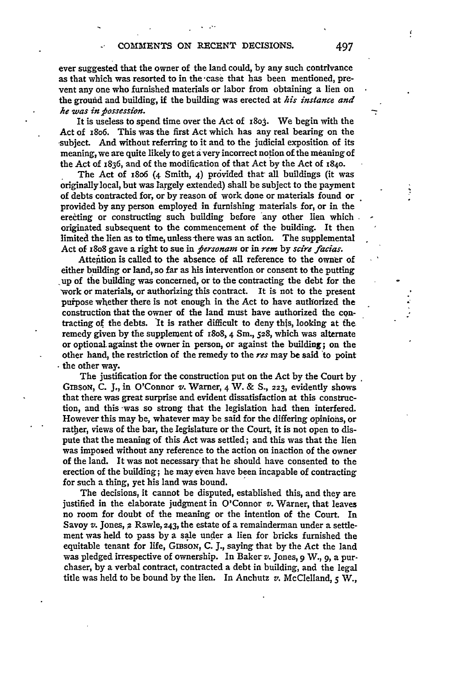ever suggested that the owner of the land could, **by** any such contrivance as that which was resorted to in the case that has been mentioned, prevent any one who furnished materials or labor from obtaining a lien on the ground and building, if the building was erected at *his instance and he was in 1possession.*

It is useless to spend time over the Act of 1803. We begin with the Act of **x8o6.** This was the first Act which has any real bearing on the subject. And without referring to it and to the judicial exposition of its meaning, we are quite likely to get **a** very incorrect notion of the meaning **of** the Act of 1836, and of the modification of that Act **by** the Act of **184o.**

The Act of 1806 (4 Smith, 4) provided that all buildings (it was originallylocal, but was largely extended) shall be subject to the payment of debts contracted for, or **by** reason of work done or materials found or provided **by** any person employed in furnishing materials for, or in the erecting or constructing such building before 'any other lien which originated subsequent to the commencement of the building. It then limited the lien as to time, unless there was an action. The supplemental Act of i8o8 gave a right to sue in *fiersonam* or in *rem* **by** *scire facias-.*

Attention is called to the absence of all reference to the owner of either building or land, so far as his intervention or consent to the putting up of the building was concerned, or to the contracting the debt for the 'work or materials, or authorizing this contract. It is not to the present purpose whether there is not enough in the Act to have authorized the construction that the owner of the land must have authorized the **cqn**tracting of the debts. It is rather difficult to deny this, looking at the remedy given by the supplement of 1808, 4 Sm., 528, which was alternate or optional. against the owner in person, or against the building; on the other hand, the restriction of the remedy to the *res* may be said 'to point the other way.

The justification for the construction put on the Act **by** the Court **by GIBsoN, C. J.,** in O'Connor v. Warner, 4 W. **& S., 223,** evidently shows that there was great surprise and evident dissatisfaction at this construction, and this -was so strong that the legislation had then interfered. However this may be, whatever may be said for the differing opinions, or rather, views of the bar, the legislature or the Court, it is not open to dispute that the meaning of this Act was settled; and this was that the lien was imposed without any reference to the action on inaction of the owner of the land. It was not necessary that he should have consented to the erection of the building; he may even have been incapable of contracting for such a thing, yet his land was bound.

The decisions, it cannot be disputed, established this, and they are justified in the elaborate judgment in O'Connor *v.* Warner, that leaves no room for doubt of the meaning or the intention of the Court. In Savoy *v.* Jones, 2 Rawle, **243,** the estate of a remainderman under a settlement was held to pass **by** a sale under a lien for bricks furnished the equitable tenant for life, GIBSON, C. J., saying that by the Act the land was pledged irrespective of ownership. In Baker *v.* Jones, **9** W., *9,* a purchaser, **by** a verbal contract, contracted a debt in building, and the legal title was held to be bound **by** the lien. In Anchutz v. McClelland, *5* **W.,**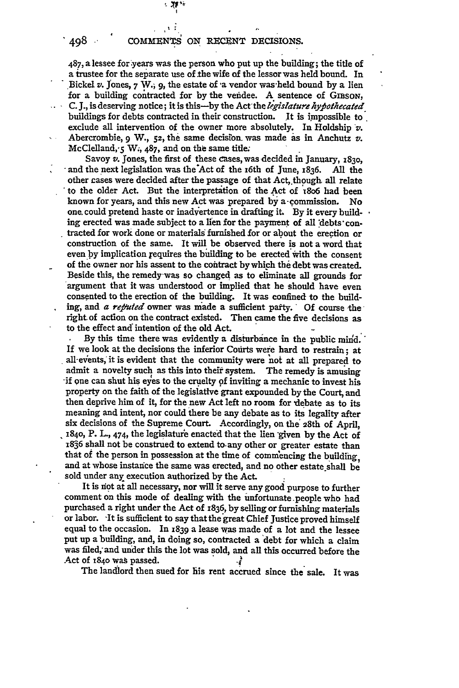**487,** a lessee foryears was the person who put up the building; the title of a trustee for the separate use of the wife of the lessor was held bound. In Bickel *v.* Jones, **7** W., **9,** the estate of -a vendor was-held bound by a lien for a building contracted for by the vendee. A sentence of GIBSON, C. J., is deserving notice; it is this-by the Act'the *legislature hyothecated* buildings for debts contracted in their construction. It is impossible to exclude all intervention of the owner more absolutely. In Holdship *v.* Abercrombie, **9** W., **52,** the same decision, was made as in Anchutz v. McClelland,  $5 W_i$ ,  $487$ , and on the same title.

Savoy v. Jones, the first of these cases, was decided in January, *1830*, and the next legislation was the Act of the 16th of June, 1836. All the other cases were decided after the passage of that Act, though all relate 'to the older Act. But the interpretation of the Act of i8o6 had been known for years, and this new Act was prepared by a commission. No one could pretend haste or inadvertence in drafting it. By it every building erected was made subject to a lien for the payment of all 'debts contracted for work done or materials furnished for or about the erection or construction of the same. It will be observed there is not a word that even by implication requires the building to be erected with the consent of the owner nor his assent to the contract by which the debt was created. Beside this, the remedy-was so changed as to eliminate all grounds for argument that it was understood or implied that he should have even consented to the erection of the building. It was confined to the building, and *a refuted* owner was made a sufficient patty. " **Of** course the right of action on the contract existed. Then came the five decisions as to the effect and intention of the old Act.

By this time there was evidently a disturbance in the public mind. If we look at the decisions the inferior Coirts were hard to restrain; at \* all-eVents,'it is evident that the community were **not** at all prepared to admit a novelty such as this into their system. The remedy is amusing -if **oue** can shut his eyes to the cruelty **9f** inviting a mechanic to invest his property on the faith of the legislative grant expounded **by** the Court, and then deprive him of it, for the new Act left no room for debate as to its meaning and intent, nor could there be any debate as to its legality after six decisions of the Supreme Court. Accordingly, on the' 28th of April, 184o, P. L., **474,** the legislature enacted that the **lien** -given **by** the Act of **i836** shall not be construed to extend to-any other or greater estate than that of the person in possession at the time of commencing the building, and at whose instance the same was erected, and no other estate shall be sold under any execution authorized **by** the Act.

It is not at all necessary, nor will it serve any good purpose to further comment on this mode of dealing with the unfortunate. people who had purchased a right under the Act of 1836, by selling or furnishing materials or labor. **-It** is sufficient to say thatthe great Chief Justice proved himself equal to the occasion. In 1839 a lease was made of a lot and the lessee put up a building, and, in doing so, contracted a debt for which a claim was filed, and under this the lot was sold, and all this occurred before the Act of 1840 was passed.

The landlord then sued for his rent accrued since the sale. It was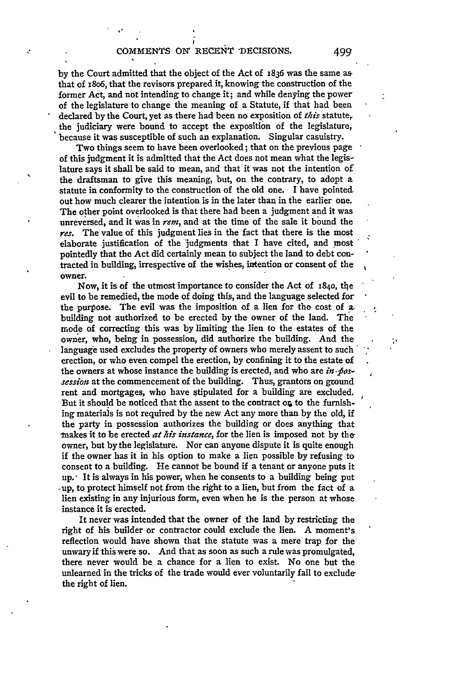**by** the Court admitted that the object of the Act of 1836 was the same **as** that of i8o6, that the revisors prepared it, knowing the construction of the former Act, and not intending to change it; and while denying the power of the legislature to change the meaning of a Statute, if that had been declared **by** the Court, yet as there had been no exposition of *this* statute, the judiciary were bound to accept the exposition of the legislature, because it was susceptible of such an explanation. Singular casuistry.

Two things seem to have been overlooked; that on the previous page of this judgment it is admitted that the Act does not mean what the legislature says it shall be said to mean, and that it was not the intention of the draftsman to give this meaning, but, on the contrary, to adopt a statute in conformity to the construction of the old one. I have pointed out how much clearer the intention is in the later than in the earlier one. The other point overlooked is that there had been a judgment and it was unreversed, and it was in *rem,* and at the time of the sale it bound the *res.* The value of this judgment lies in the fact that there is the most elaborate justification of the judgments that I have cited, and most pointedly that the Act did certainly mean to subject the land to debt contracted in building, irrespective of the wishes, intention or consent of the owner.

Now, it is of the utmost importance to consider the Act of 1840, the evil to be remedied, the mode of doing this, and the language selected for the purpose. The evil was the imposition of a lien for the cost of **a.** building not authorized to be erected **by** the owner of the land. The mode of correcting this was **by** limiting the lien to the estates **of** the owner, who, being in possession, did authorize the building. And the language used excludes the property of owners who merely assent to such' erection, or who even compel the erection, **by** confining it to the estate of the owners at whose instance the building is erected, and who are  $\dot{m} \cdot \dot{p}$ os*session* at the commencement of the building. Thus, grantors on ground rent and mortgages, who have stipulated for a building are excluded. But it should be noticed that the assent to the contract **or** to the furnishing materials is not required **by** the new Act any more than **by** the old, if the party in possession authorizes the building or does anything that -makes it to be erected *at his instance,* for the lien is imposed not **by the** owner, but **by** the legislature. Nor can anyone dispute it is quite enough if the owner has it in his option to make a lien possible **by** refusing to consent to a building. He cannot be bound if a tenant or anyone puts it up." It is always in his power, when he consents to a building being put -up, to protect himself not from the right to a lien, but from the fact of a lien existing in any injurious form, even when he is the person at whose instance it is erected.

It never was intended that the owner of the land **by** restricting the right of his builder or contractor could exclude the lien. **A** moment's reflection would have shown that the statute was a mere trap for the unwary if this were so. And that as soon as such a rule was promulgated, there never would be a chance for a lien to exist. No one but the unlearned in the tricks of the trade would ever voluntarily fail to excludethe right of lien.